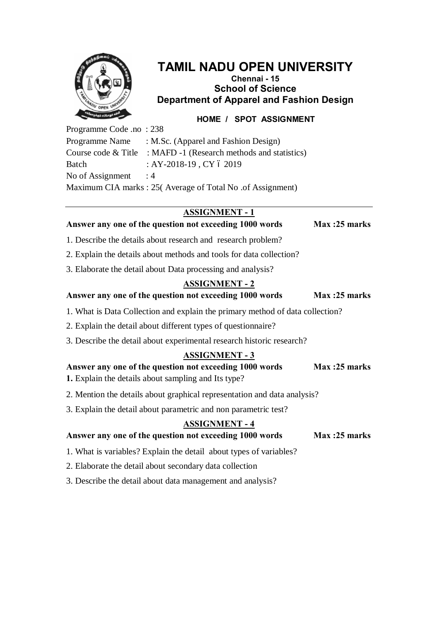

**Chennai - 15 School of Science Department of Apparel and Fashion Design**

## **HOME / SPOT ASSIGNMENT**

Programme Code .no : 238 Programme Name : M.Sc. (Apparel and Fashion Design) Course code & Title : MAFD -1 (Research methods and statistics) Batch : AY-2018-19, CY ó 2019 No of Assignment  $: 4$ Maximum CIA marks : 25( Average of Total No .of Assignment)

## **ASSIGNMENT - 1**

## **Answer any one of the question not exceeding 1000 words Max :25 marks**

- 1. Describe the details about research and research problem?
- 2. Explain the details about methods and tools for data collection?
- 3. Elaborate the detail about Data processing and analysis?

# **ASSIGNMENT - 2**

## **Answer any one of the question not exceeding 1000 words Max :25 marks**

- 1. What is Data Collection and explain the primary method of data collection?
- 2. Explain the detail about different types of questionnaire?
- 3. Describe the detail about experimental research historic research?

## **ASSIGNMENT - 3**

| Answer any one of the question not exceeding 1000 words    | Max:25 marks |
|------------------------------------------------------------|--------------|
| <b>1.</b> Explain the details about sampling and Its type? |              |

- 2. Mention the details about graphical representation and data analysis?
- 3. Explain the detail about parametric and non parametric test?

## **ASSIGNMENT - 4**

**Answer any one of the question not exceeding 1000 words Max :25 marks**

- 1. What is variables? Explain the detail about types of variables?
- 2. Elaborate the detail about secondary data collection
- 3. Describe the detail about data management and analysis?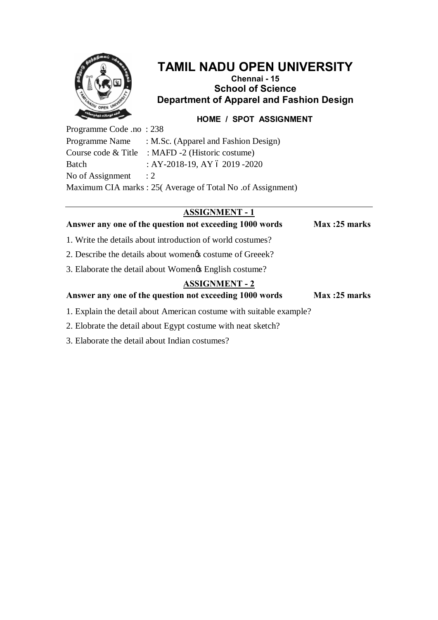

**Chennai - 15 School of Science Department of Apparel and Fashion Design**

**HOME / SPOT ASSIGNMENT**

Programme Code .no : 238 Programme Name : M.Sc. (Apparel and Fashion Design) Course code & Title : MAFD -2 (Historic costume) Batch : AY-2018-19, AY ó 2019 -2020 No of Assignment : 2 Maximum CIA marks : 25( Average of Total No .of Assignment)

# **ASSIGNMENT - 1**

**Answer any one of the question not exceeding 1000 words Max :25 marks** 1. Write the details about introduction of world costumes? 2. Describe the details about women & costume of Greeek?

3. Elaborate the detail about Womengs English costume?

# **ASSIGNMENT - 2**

**Answer any one of the question not exceeding 1000 words Max :25 marks**

1. Explain the detail about American costume with suitable example?

2. Elobrate the detail about Egypt costume with neat sketch?

3. Elaborate the detail about Indian costumes?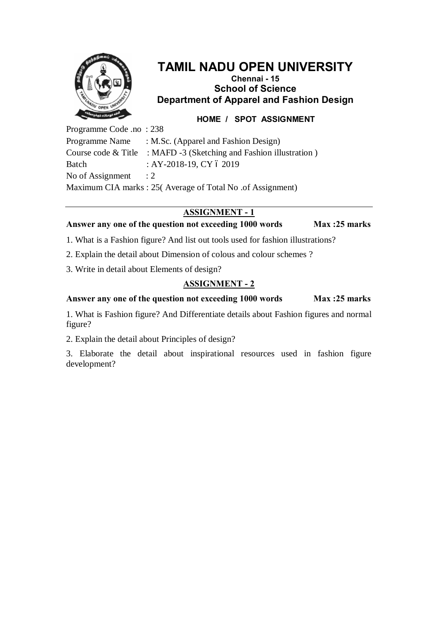

**Chennai - 15 School of Science Department of Apparel and Fashion Design**

**HOME / SPOT ASSIGNMENT**

Programme Code .no : 238 Programme Name : M.Sc. (Apparel and Fashion Design) Course code & Title : MAFD -3 (Sketching and Fashion illustration ) Batch : AY-2018-19, CY ó 2019 No of Assignment : 2 Maximum CIA marks : 25( Average of Total No .of Assignment)

## **ASSIGNMENT - 1**

## **Answer any one of the question not exceeding 1000 words Max :25 marks**

1. What is a Fashion figure? And list out tools used for fashion illustrations?

- 2. Explain the detail about Dimension of colous and colour schemes ?
- 3. Write in detail about Elements of design?

# **ASSIGNMENT - 2**

#### **Answer any one of the question not exceeding 1000 words Max :25 marks**

1. What is Fashion figure? And Differentiate details about Fashion figures and normal figure?

2. Explain the detail about Principles of design?

3. Elaborate the detail about inspirational resources used in fashion figure development?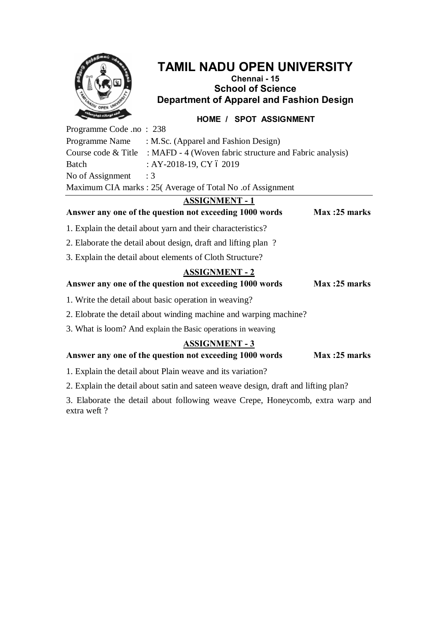

**Chennai - 15 School of Science Department of Apparel and Fashion Design**

## **HOME / SPOT ASSIGNMENT**

Programme Code .no : 238 Programme Name : M.Sc. (Apparel and Fashion Design) Course code & Title : MAFD - 4 (Woven fabric structure and Fabric analysis) Batch : AY-2018-19, CY ó 2019 No of Assignment : 3 Maximum CIA marks : 25( Average of Total No .of Assignment

## **ASSIGNMENT - 1**

# **Answer any one of the question not exceeding 1000 words Max :25 marks**

- 1. Explain the detail about yarn and their characteristics?
- 2. Elaborate the detail about design, draft and lifting plan ?
- 3. Explain the detail about elements of Cloth Structure?

# **ASSIGNMENT - 2**

## **Answer any one of the question not exceeding 1000 words Max :25 marks**

- 1. Write the detail about basic operation in weaving?
- 2. Elobrate the detail about winding machine and warping machine?
- 3. What is loom? And explain the Basic operations in weaving

# **ASSIGNMENT - 3**

## **Answer any one of the question not exceeding 1000 words Max :25 marks**

- 1. Explain the detail about Plain weave and its variation?
- 2. Explain the detail about satin and sateen weave design, draft and lifting plan?

3. Elaborate the detail about following weave Crepe, Honeycomb, extra warp and extra weft ?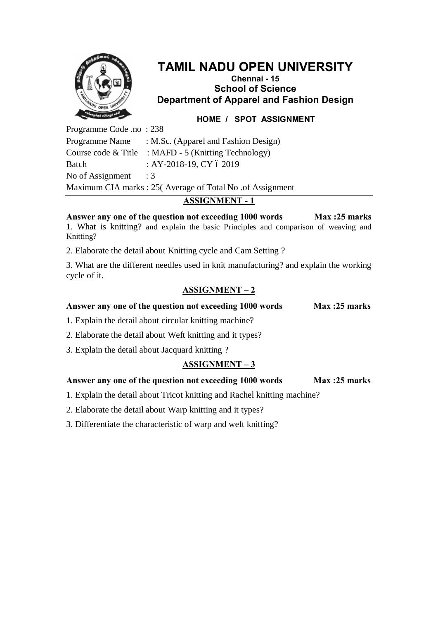

**Chennai - 15 School of Science Department of Apparel and Fashion Design**

## **HOME / SPOT ASSIGNMENT**

Programme Code .no : 238 Programme Name : M.Sc. (Apparel and Fashion Design) Course code & Title : MAFD - 5 (Knitting Technology) Batch : AY-2018-19, CY ó 2019 No of Assignment : 3 Maximum CIA marks : 25( Average of Total No .of Assignment

## **ASSIGNMENT - 1**

Answer any one of the question not exceeding 1000 words Max :25 marks 1. What is knitting? and explain the basic Principles and comparison of weaving and Knitting?

2. Elaborate the detail about Knitting cycle and Cam Setting ?

3. What are the different needles used in knit manufacturing? and explain the working cycle of it.

## **ASSIGNMENT – 2**

## **Answer any one of the question not exceeding 1000 words Max :25 marks**

1. Explain the detail about circular knitting machine?

2. Elaborate the detail about Weft knitting and it types?

3. Explain the detail about Jacquard knitting ?

# **ASSIGNMENT – 3**

**Answer any one of the question not exceeding 1000 words Max :25 marks**

1. Explain the detail about Tricot knitting and Rachel knitting machine?

2. Elaborate the detail about Warp knitting and it types?

3. Differentiate the characteristic of warp and weft knitting?